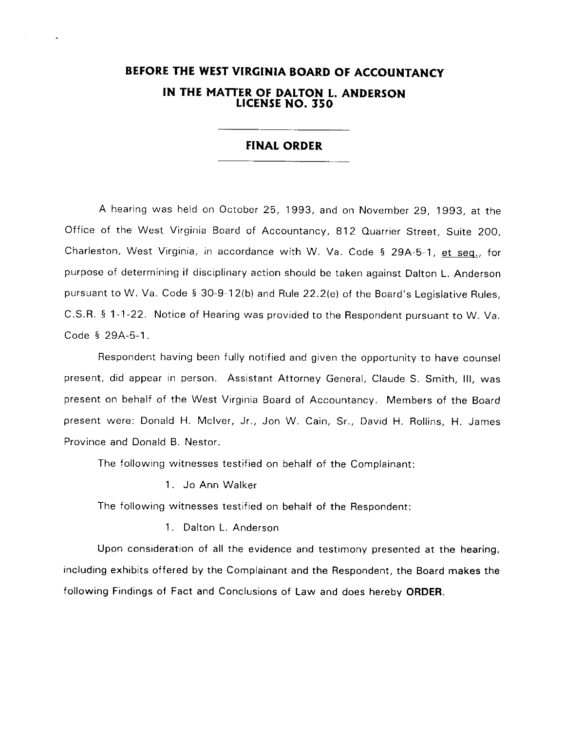# BEFORE THE WEST VIRGINIA BOARD OF ACCOUNTANCY IN THE MATTER OF DALTON L. ANDERSON UCENSE NO. 350

## **FINAL ORDER**

A hearing was held on October 25, 1993, and on November 29, 1993, at the Office of the West Virginia Board of Accountancy, 812 Quarrier Street, Suite 200, Charleston, West Virginia, in accordance with W. Va. Code § 29A-5-1, et seq., for purpose of determining if disciplinary action should be taken against Dalton L. Anderson pursuant to W. Va. Code § 30-9-12(b) and Rule 22.2(e) of the Board's Legislative Rules, C.S.R. § 1-1-22. Notice of Hearing was provided to the Respondent pursuant to W. Va. Code § 29A-5-1.

Respondent having been fully notified and given the opportunity to have counsel present, did appear in person. Assistant Attorney General, Claude S. Smith, III, was present on behalf of the West Virginia Board of Accountancy. Members of the Board present were: Donald H. Mclver, Jr., Jon W. Cain, Sr., David H. Rollins, H. James Province and Donald B. Nestor.

The following witnesses testified on behalf of the Complainant:

<sup>1</sup>. Jo Ann Walker

The following witnesses testified on behalf of the Respondent:

1. Dalton L. Anderson

Upon consideration of all the evidence and testimony presented at the hearing, including exhibits offered by the Complainant and the Respondent, the Board makes the following Findings of Fact and Conclusions of Law and does hereby ORDER.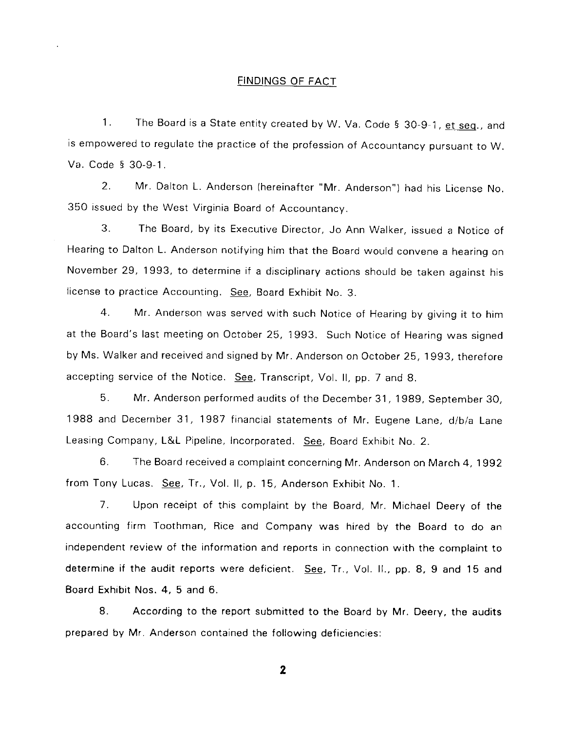## FINDINGS OF FACT

1. The Board is a State entity created by W. Va. Code § 30-9-1, <u>et seq</u>., and is empowered to regulate the practice of the profession of Accountancy pursuant to w. Va. Code § 30-9-1.

2. Mr. Dalton L. Anderson (hereinafter "Mr. Anderson") had his License No. 350 issued by the West Virginia Board of Accountancy.

3. The Board, by its Executive Director, Jo Ann Walker, issued a Notice of Hearing to Dalton L. Anderson notifying him that the Board would convene a hearing on November 29, 1993, to determine if a disciplinary actions should be taken against his license to practice Accounting. See, Board Exhibit No. 3.

4. Mr. Anderson was served with such Notice of Hearing by giving it to him at the Board's last meeting on October 25, 1993. Such Notice of Hearing was signed by Ms. Walker and received and signed by Mr. Anderson on October 25, 1993, therefore accepting service of the Notice. See, Transcript, Vol. ll, pp. 7 and 8.

5. Mr. Anderson performed audits of the December 31, 1989, September 30, 1988 and December 31, 1987 financial statements of Mr. Eugene Lane, d/b/a Lane Leasing Company, L&L Pipeline, Incorporated. See, Board Exhibit No. 2.

6. The Board received a complaint concerning Mr. Anderson on March 4, 1992 from Tony Lucas. See, Tr., Vol. II, p. 15, Anderson Exhibit No. 1.

7. Upon receipt of this complaint by the Board, Mr. Michael Deery of the accounting firm Toothman, Rice and Company was hired by the Board to do an independent review of the information and reports in connection with the complaint to determine if the audit reports were deficient. See, Tr., Vol. II., pp. 8, 9 and 15 and Board Exhibit Nos. 4, 5 and 6.

8. According to the report submitted to the Board by Mr. Deery, the audits prepared by Mr. Anderson contained the following deficiencies:

2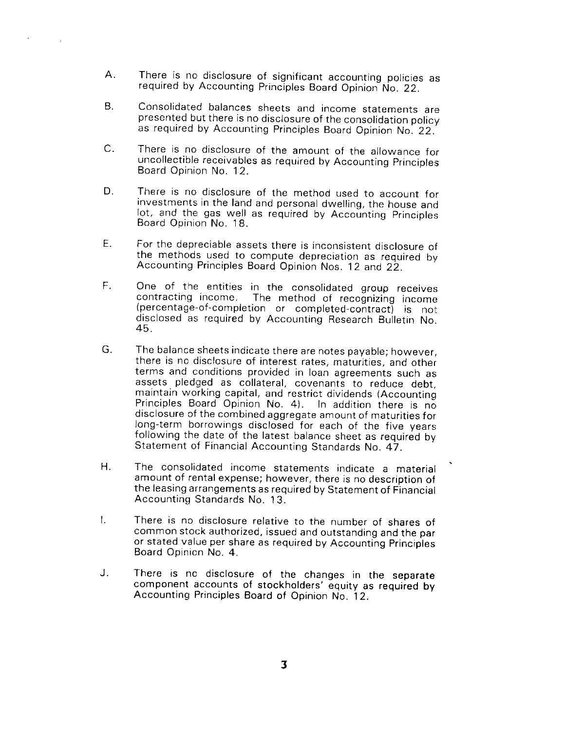- A. There is no disclosure of significant accounting policies as required by Accounting Principles Board Opinion No. 22.
- B. Consolidated balances sheets and income statements are presented but there is no disclosure of the consolidation policy as required by Accounting Principles Board Opinion No. 22.'
- There is no disclosure of the amount of the allowance for uncollectible receivables as required by Accounting Principles Board Opinion No. 12. c.
- There is no disclosure of the method used to account for investments in the land and personal dwelling, the house and lot, and the gas well as required by Accounting Principles Board Opinion No. 18. D.
- For the depreciable assets there is inconsistent disclosure of the methods used to compute depreciation as required by Accounting Principles Board Opinion Nos. 12 and 22. E.
- One of the entities in the consolidated group receives contracting income. The method of recognizing income (percentage-of-completion or completed-contract) is not disclosed as; required by Accounting Research Bulletin No. 45. F.
- The balance sheets indicate there are notes payable; however, there is no disclosure of interest rates, maturities, and other terms and conditions provided in loan agreements such as assets pledged as collateral, covenants to reduce debt, maintain working capital, and restrict dividends (Accounting Principles Board Opinion No. 4). In addition there is no disclosure of the combined aggregate amount of maturities for long-term borrowings disclosed for each of the five years following the date of the latest balance sheet as required by Statement of Financial Accounting Standards No. 47. G.
- The consolidated income statements indicate a material amount of rental expense; however, there is no description of the leasing arrangements as required by Statement of Financial Accounting Standards No. 13. H.
- $\mathbf{L}$ There is no disclosure relative to the number of shares of common stock authorized, issued and outstanding and the par or stated value per share as required by Accounting Principles Board Opinion No. 4.
- There is no disclosure of the changes in the separate component accounts of stockholders' equity as required by Accounting Principles Board of Opinion No. 12. J.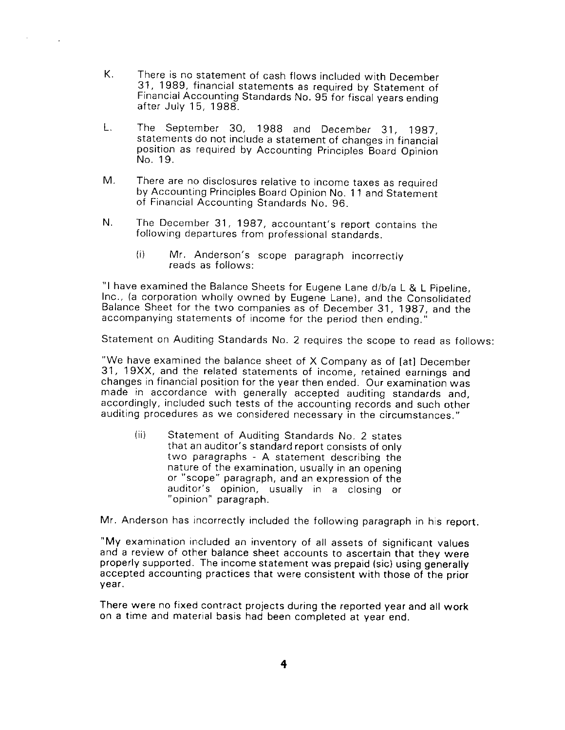- K. There is no statement of cash flows included with December 31, I989, financial statements as required bv Statement of Financial Accounting Standards No. 95 for fiscal years ending<br>after July 15, 1988.
- L, The Septernber 3O, 1988 and December 31, 1997, statements do not include a statement of changes in financial position as required by Accounting Principles Board Opinion No. 19.
- M. There are no disclosures relative to income taxes as required by Accounting Principles Board Opinion No. 11 and Statement of Financial Accounting Standards No. 96.
- N. The December 31, 1987, accountant's report contains the following departures from professional standards.
	- (i) Mr. Anderson's scope paragraph incorrectly reads as follows:

"I have examined the Balance Sheets for Eugene Lane d/b/a L & L Pipeline, Inc., (a corporation whoily owned by Eugene Lane), and the Consoiidated Balance Sheet for the two companies as of December 31, 1987, and the accompanying statements of income for the period then ending. "

Statement on Auditing Standards No. 2 requires the scope to read as follows:

"We have examined the balance sheet of X Company as of [at] December The may examined the balance sheet of X company as of [at] becember 17. 19XX, and the related statements of income, retained earnings and changes in financial position for the year then ended. Our examination was made in accordance with generally accepted auditing standards and, accordingly, included such tests of the accounting records and such other auditing procedures as we considered necessary in the circumstances."

(ii) Statement of Auditing Standards No. 2 states that an auditor's standard report consists of only two paragraphs - A statement describing the nature of the examination, usually in an opening or "scope" paragraph, and an expression of the auditor's opinion, usualiy in a closing or " opinion" paragraph.

Mr. Anderson has incorrectly included the following paragraph in his report.

"My examination included an inventory of all assets of significant values and a review of other balance sheet accounts to ascertain that thev were properly supported. The income statement was prepaid {sic) using generally accepted accounting practices that were consistent with those of the prior vear.

There were no fixed contract projects during the reported year and all work on a time and material basis had been completed at year end.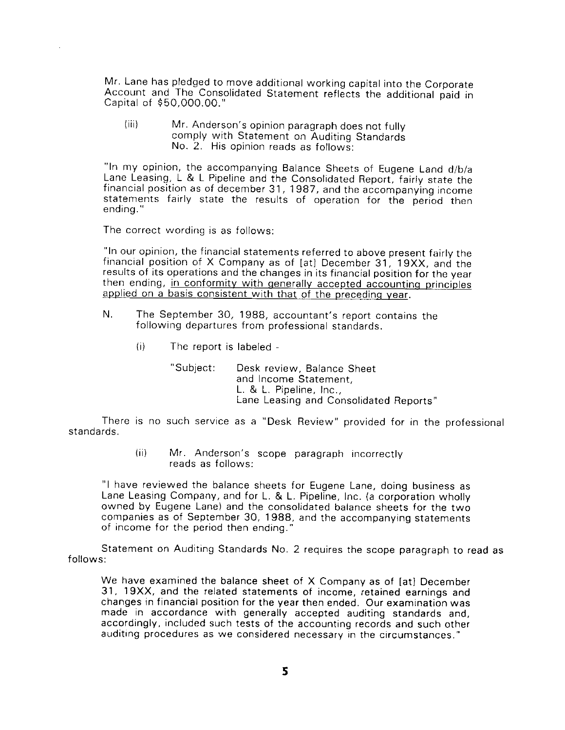Mr. Lane has pledged to move additional working capital into the Corporate Account and The Consolidated Statement reflects the additional paid in Capital of \$50,000.00."

(iii) Mr. Anderson's opinion paragraph does not fully comply with Statement on Auditinq Standards No. 2. His opinion reads as follows:

"ln my opinion, the accompanying Balance Sheets of Eugene Land d/b/a Lane Leasing, L & L Pipeline and the Consolidated Report, fairly state the <sup>f</sup>inancial position as of december 31, 1 987, and the accompanying income statements fairly state the results of operation for the period then ending. "

The correct wording is as follows:

"In our opinion, the financial statements referred to above present fairly the financial position of X Company as of [at] December 31, 19XX, and the results of its operations and the changes in its financial position for the year<br>then ending, in conformity with generally accepted accounting principles applied on a basis consistent with that of the preceding year.

- N. The September 30, 1988, accountant's report contains the following departures from professional standards.
	- (i) The report is labeled

"Subject: Desk review, Balance Sheet and Income Statement, L. & L. Pipeline, Inc., Lane Leasing and Consolidated Reports"

There is no such service as a "Desk Review" provided for in the professional standards.

> (ii) Mr. Anderson's scope paragraph incorrectly reads as follows:

"l have reviewed the balance sheets for Eugene Lane, doing business as Lane Leasing Company, and for L. & L. Pipeline, lnc. (a corporation wholly owned by Eugene Lane) and the consolidated balance sheets for the two companies as of September 30, 1988, and the accompanying statements of income for the period then ending."

Statement on Auditing Standards No. 2 requires the scope paragraph to read as <sup>f</sup>ollows:

We have examined the balance sheet of X Company as of [at] December 31, 19XX, and the related statements of income, retained earnings and changes in financial position for the year then ended. Our examination was made in accordance with generally accepted auditing standards and, accordingly, included such tests of the accounting records and such other auditing procedures as we considered necessary in the circumstances."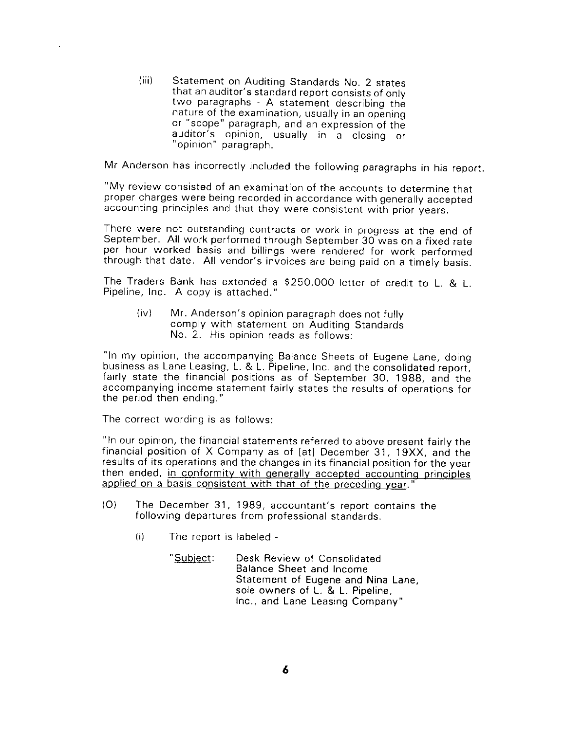{iii) Statement on Auditing Standards No. 2 states that an auditor's standard report consists of only two paragraphs - A statement describing the nature of the examination, usually in an opening<br>or "scope" paragraph, and an expression of the auditor's opinion, usually in a closing or " opinion" paragraph.

Mr Anderson has incorrectly included the following paragraphs in his report.

"My review consisted of an examination of the accounts to determine that proper charges were being recorded in accordance with generally accepted accounting principles and that they were consistent with prior years.

There were not outstanding contracts or work in progress at the end of September. All work performed through September 30-was on a fixed rate per hour worked basis and billings were rendered for work performed through that date. All vendor's invoices are being paid on a timely basis.

The Traders Bank has extended a \$250,000 letter of credit to L. & L. Pipeline, Inc. A copy is attached."

(iv) Mr. Anderson's opinion paragraph does not fully comply with statement on Auditing Standards No. 2. His opinion reads as follows:

"In my opinion, the accompanying Balance Sheets of Eugene Lane, doing<br>business as Lane Leasing, L. & L. Pipeline, Inc. and the consolidated report. fairly state the financial positions as of September 30, 1988, and the accompanying income statement fairly states the results of operations for the period then ending."

The correct wording is as follows:

"ln our opinion, the financial statements referred to above present fairly the financial position of X Company as of [at] December 31, 19XX, and the results of its operations and the changes in its financial position for the year then ended, in conformity with generally accepted accounting principles applied on a basis consistent with that of the preceding vear."

- (O) The December 31, 1989, accountant's report contains the following departures from professional standards.
	- (i) The report is labeled
		- "Subiect: Desk Review of Consolidated Balance Sheet and Income Statement of Eugene and Nina Lane, sole owners of L. & L. Pipeline, Inc.. and Lane Leasing Company"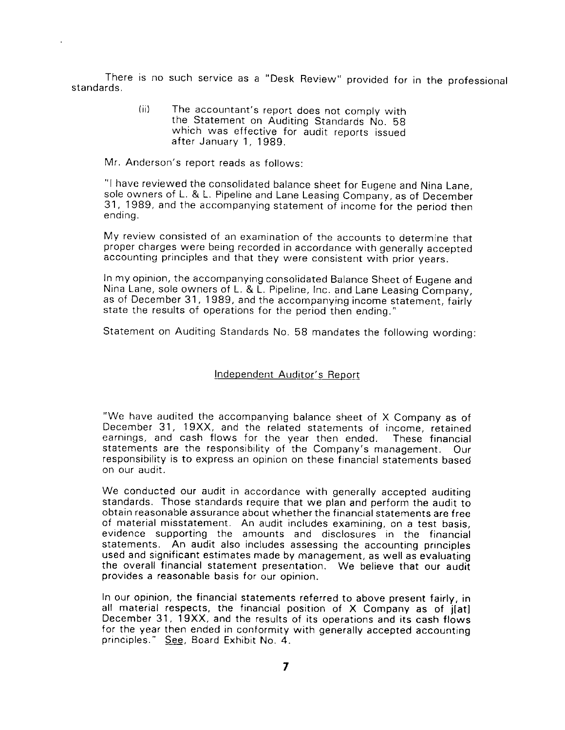There is no such service as a "Desk Review" provided for in the professional standards.

> (ii) The accountant's report does not comply with<br>the Statement on Auditing Standards No. 58<br>which was effective for audit reports issued after January 1, 1989.

Mr. Anderson's report reads as follows:

"I have reviewed the consolidated balance sheet for Eugene and Nina Lane, sole owners of L. & L. Pipeline and Lane Leasing Company, as of December 31, 1989, and the accompanying statement of income for the period then ending.

My review consisted of an examination of the accounts to determine that proper charges were being recorded in accordance with generally accepted accounting principles and that they were consistent with prior years.

ln my opinion, the accompanying consolidated Balance Sheet of Eugene and Njna Lane, sole owners of L. & L. Pipeline, Inc. and Lane Leasing Company, as of December 31, 1989, and the accompanying income statement, fairiy state the results of operations for the period then ending."

Statement on Auditing Standards No. 58 mandates the following wording:

## Independent Auditor's Reoort

"We have audited the accompanying balance sheet of X Company as of December 31, 19XX, and the related statements of income, retained earnings, and cash flows for the year then ended. These financial statements are the responsibility of the Company's management. Our responsibility is to express an opinion on these financial statements based on our audit.

We conducted our audit in accordance with generally accepted auditing standards. Those standards require that we plan and perform the audit to obtain reasonable assurance about whether the financial statements are free of material misstatement. An audit includes examining, on a test basis, evidence supporting the amounts and disclosures in the financial statements. An audit also includes assessing the accounting principles used and significant estimates made by management, as well as evaluating the overall financial statement presentation. We believe that our audit provides a reasonable basis for our opinion.

In our opinion, the financial statements referred to above present fairly, in all material respects, the financial position of X Company as of jIat] December 31, 19XX, and the results of its operations and its cash flows for the year then ended in conformity with generally accepted accounting principles." See, Board Exhibit No. 4.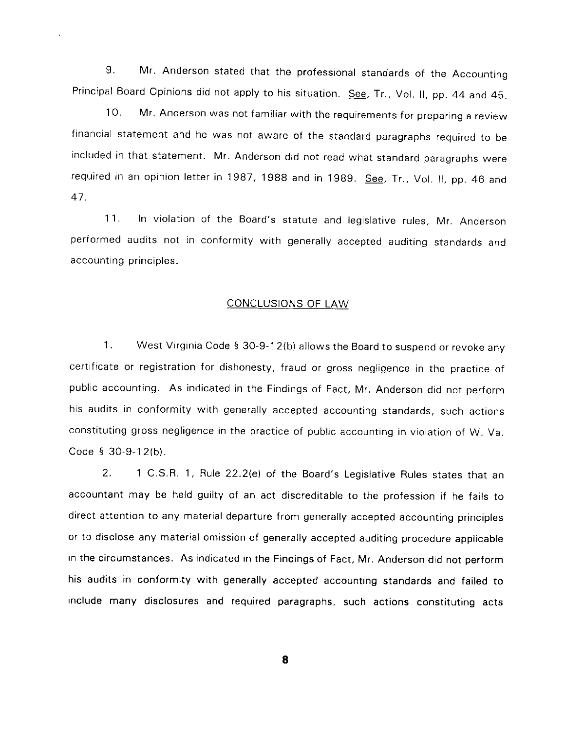9. Mr. Anderson stated that the professional standards of the Accounting Principal Board Opinions did not apply to his situation. See, Tr., Vol. II, pp. 44 and 45.

10. Mr. Anderson was not familiar with the requirements for preparing a review financial statement and he was not aware of the standard paragraphs required to be included in that statement. Mr. Anderson did not read what standard paragraphs were required in an opinion letter in 1987, 1988 and in 1989. See, Tr., Vol. II, pp. 46 and 47.

11. In violation of the Board's statute and legislative rules, Mr. Anderson performed audits not in conformity with generally accepted auditing standards and accounting principles.

## CONCLUSIONS OF LAW

1. West Virginia Code § 30-9-12(b) allows the Board to suspend or revoke any certificate or registration for dishonesty, fraud or gross negligence in the practice of public accounting. As indicated in the Findings of Fact, Mr. Anderson did not perform his audits in conformity with generally accepted accounting standards, such actions constituting gross negligence in the practice of public accounting in violation of W. Va. Code 5 30-9-12(b).

2. 1 C.S.R. 1, Rule 22.2(e) of the Board's Legislative Rules states that an accountant may be held guilty of an act discreditable to the profession if he fails to direct attention to any material departure from generally accepted accounting principles or to disclose any material omission of generally accepted auditing procedure applicable in the circumstances. As indicated in the Findings of Fact, Mr. Anderson did not perform his audits in conformity with generally accepted accounting standards and failed to include many disclosures and required paragraphs, such actions constituting acts

8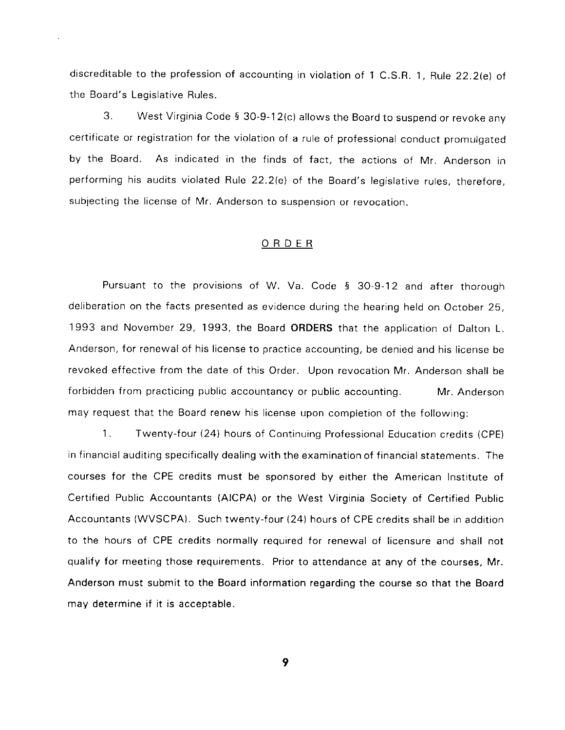discreditable to the profession of accounting in violation of 1 C.S.R. 1, Rule 22.2(e) of the Board's Legislative Rules.

3. West Virginia Code 5 30-9-12(c) allows the Board to suspend or revoke any certificate or registration for the violation of a rule of professional conduct promulgated by the Board. As indicated in the finds of fact, the actions of Mr. Anderson in performing his audits violated Rule 22.2(e) of the Board's legislative rules, therefore, subjecting the license of Mr. Anderson to suspension or revocation.

## ORDER

Pursuant to the provisions of W. Va. Code 5 3O-9-12 and after thorough deliberation on the facts presented as evidence during the hearing held on October 25, 1993 and November 29, 1993, the Board ORDERS that the application of Dalton L. Anderson, for renewal of his license to practice accounting, be denied and his license be revoked effective from the date of this Order. Upon revocation Mr. Anderson shall be forbidden from practicing public accountancy or public accounting. Mr. Anderson may request that the Board renew his license upon completion of the following:

1. Twenty-four (24) hours of Continuing Professional Education credits (CPE) in financial auditing specifically dealing with the examination of financial statements. The courses for the CPE credits must be sponsored by either the American Institute of Certified Public Accountants (AICPA) or the West Virginia Society of Certified Public Accountants (WVSCPA). Such twenty-four {24) hours of CPE credits shall be in addition to the hours of CPE credits normally required for renewal of licensure and shall not qualify for meeting those requirements. Prior to attendance at any of the courses, Mr. Anderson must submit to the Board information regarding the course so that the Board may determine if it is acceptable.

9